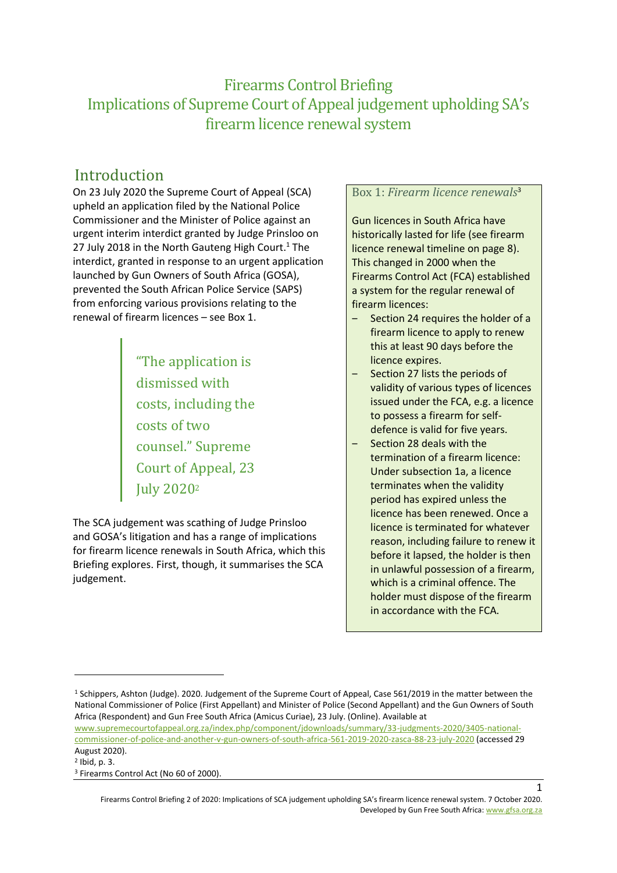## Firearms Control Briefing Implications of Supreme Court of Appeal judgement upholding SA's firearm licence renewal system

## Introduction

On 23 July 2020 the Supreme Court of Appeal (SCA) upheld an application filed by the National Police Commissioner and the Minister of Police against an urgent interim interdict granted by Judge Prinsloo on 27 July 2018 in the North Gauteng High Court.<sup>1</sup> The interdict, granted in response to an urgent application launched by Gun Owners of South Africa (GOSA), prevented the South African Police Service (SAPS) from enforcing various provisions relating to the renewal of firearm licences – see Box 1.

> "The application is dismissed with costs, including the costs of two counsel." Supreme Court of Appeal, 23 July 2020<sup>2</sup>

The SCA judgement was scathing of Judge Prinsloo and GOSA's litigation and has a range of implications for firearm licence renewals in South Africa, which this Briefing explores. First, though, it summarises the SCA judgement.

### Box 1: *Firearm licence renewals*<sup>3</sup>

Gun licences in South Africa have historically lasted for life (see firearm licence renewal timeline on pag[e 8\)](#page-7-0). This changed in 2000 when the Firearms Control Act (FCA) established a system for the regular renewal of firearm licences:

- Section 24 requires the holder of a firearm licence to apply to renew this at least 90 days before the licence expires.
- Section 27 lists the periods of validity of various types of licences issued under the FCA, e.g. a licence to possess a firearm for selfdefence is valid for five years.
- ‒ Section 28 deals with the termination of a firearm licence: Under subsection 1a, a licence terminates when the validity period has expired unless the licence has been renewed. Once a licence is terminated for whatever reason, including failure to renew it before it lapsed, the holder is then in unlawful possession of a firearm, which is a criminal offence. The holder must dispose of the firearm in accordance with the FCA.

<sup>1</sup> Schippers, Ashton (Judge). 2020. Judgement of the Supreme Court of Appeal, Case 561/2019 in the matter between the National Commissioner of Police (First Appellant) and Minister of Police (Second Appellant) and the Gun Owners of South Africa (Respondent) and Gun Free South Africa (Amicus Curiae), 23 July. (Online). Available at

[www.supremecourtofappeal.org.za/index.php/component/jdownloads/summary/33-judgments-2020/3405-national](http://www.supremecourtofappeal.org.za/index.php/component/jdownloads/summary/33-judgments-2020/3405-national-commissioner-of-police-and-another-v-gun-owners-of-south-africa-561-2019-2020-zasca-88-23-july-2020)[commissioner-of-police-and-another-v-gun-owners-of-south-africa-561-2019-2020-zasca-88-23-july-2020](http://www.supremecourtofappeal.org.za/index.php/component/jdownloads/summary/33-judgments-2020/3405-national-commissioner-of-police-and-another-v-gun-owners-of-south-africa-561-2019-2020-zasca-88-23-july-2020) (accessed 29 August 2020).

<sup>2</sup> Ibid, p. 3.

<sup>&</sup>lt;sup>3</sup> Firearms Control Act (No 60 of 2000).

Firearms Control Briefing 2 of 2020: Implications of SCA judgement upholding SA's firearm licence renewal system. 7 October 2020. Developed by Gun Free South Africa[: www.gfsa.org.za](http://www.gfsa.org.za/)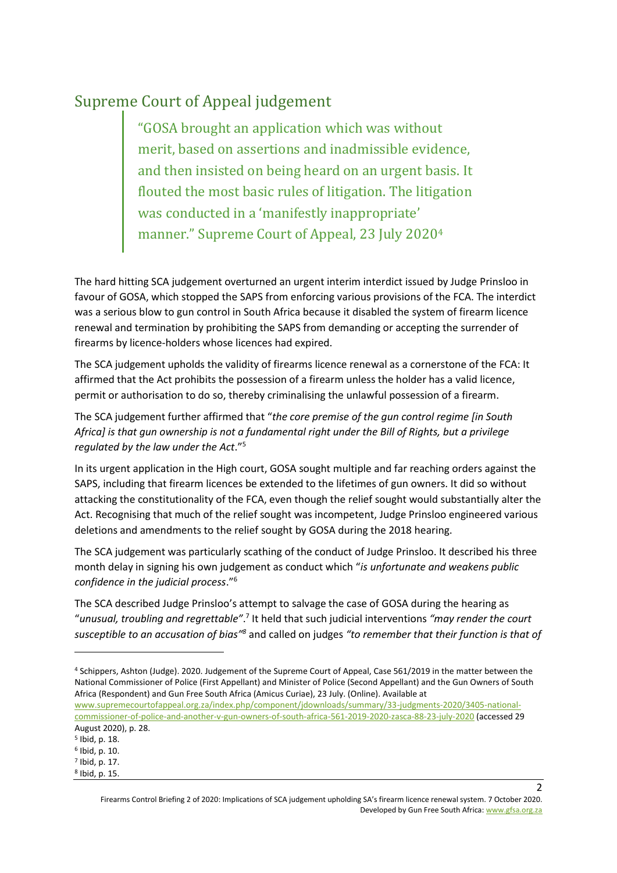# Supreme Court of Appeal judgement

"GOSA brought an application which was without merit, based on assertions and inadmissible evidence, and then insisted on being heard on an urgent basis. It flouted the most basic rules of litigation. The litigation was conducted in a 'manifestly inappropriate' manner." Supreme Court of Appeal, 23 July 2020<sup>4</sup>

The hard hitting SCA judgement overturned an urgent interim interdict issued by Judge Prinsloo in favour of GOSA, which stopped the SAPS from enforcing various provisions of the FCA. The interdict was a serious blow to gun control in South Africa because it disabled the system of firearm licence renewal and termination by prohibiting the SAPS from demanding or accepting the surrender of firearms by licence-holders whose licences had expired.

The SCA judgement upholds the validity of firearms licence renewal as a cornerstone of the FCA: It affirmed that the Act prohibits the possession of a firearm unless the holder has a valid licence, permit or authorisation to do so, thereby criminalising the unlawful possession of a firearm.

The SCA judgement further affirmed that "*the core premise of the gun control regime [in South Africa] is that gun ownership is not a fundamental right under the Bill of Rights, but a privilege regulated by the law under the Act*." 5

In its urgent application in the High court, GOSA sought multiple and far reaching orders against the SAPS, including that firearm licences be extended to the lifetimes of gun owners. It did so without attacking the constitutionality of the FCA, even though the relief sought would substantially alter the Act. Recognising that much of the relief sought was incompetent, Judge Prinsloo engineered various deletions and amendments to the relief sought by GOSA during the 2018 hearing.

The SCA judgement was particularly scathing of the conduct of Judge Prinsloo. It described his three month delay in signing his own judgement as conduct which "*is unfortunate and weakens public confidence in the judicial process*."<sup>6</sup>

The SCA described Judge Prinsloo's attempt to salvage the case of GOSA during the hearing as "unusual, troubling and regrettable".<sup>7</sup> It held that such judicial interventions "may render the court susceptible to an accusation of bias<sup>18</sup> and called on judges "to remember that their function is that of

[www.supremecourtofappeal.org.za/index.php/component/jdownloads/summary/33-judgments-2020/3405-national](http://www.supremecourtofappeal.org.za/index.php/component/jdownloads/summary/33-judgments-2020/3405-national-commissioner-of-police-and-another-v-gun-owners-of-south-africa-561-2019-2020-zasca-88-23-july-2020)[commissioner-of-police-and-another-v-gun-owners-of-south-africa-561-2019-2020-zasca-88-23-july-2020](http://www.supremecourtofappeal.org.za/index.php/component/jdownloads/summary/33-judgments-2020/3405-national-commissioner-of-police-and-another-v-gun-owners-of-south-africa-561-2019-2020-zasca-88-23-july-2020) (accessed 29 August 2020), p. 28.

Firearms Control Briefing 2 of 2020: Implications of SCA judgement upholding SA's firearm licence renewal system. 7 October 2020. Developed by Gun Free South Africa[: www.gfsa.org.za](http://www.gfsa.org.za/)

<sup>4</sup> Schippers, Ashton (Judge). 2020. Judgement of the Supreme Court of Appeal, Case 561/2019 in the matter between the National Commissioner of Police (First Appellant) and Minister of Police (Second Appellant) and the Gun Owners of South Africa (Respondent) and Gun Free South Africa (Amicus Curiae), 23 July. (Online). Available at

<sup>5</sup> Ibid, p. 18.

<sup>6</sup> Ibid, p. 10.

<sup>7</sup> Ibid, p. 17.

<sup>8</sup> Ibid, p. 15.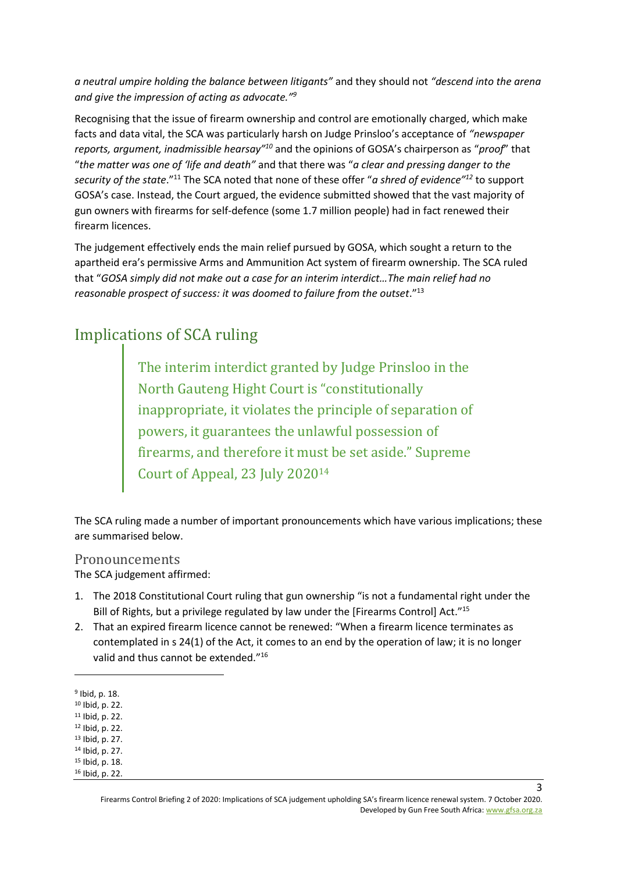*a neutral umpire holding the balance between litigants"* and they should not *"descend into the arena and give the impression of acting as advocate." 9*

Recognising that the issue of firearm ownership and control are emotionally charged, which make facts and data vital, the SCA was particularly harsh on Judge Prinsloo's acceptance of *"newspaper*  reports, argument, inadmissible hearsay<sup>"10</sup> and the opinions of GOSA's chairperson as "proof" that "*the matter was one of 'life and death"* and that there was "*a clear and pressing danger to the security of the state*." <sup>11</sup> The SCA noted that none of these offer "*a shred of evidence"<sup>12</sup>* to support GOSA's case. Instead, the Court argued, the evidence submitted showed that the vast majority of gun owners with firearms for self-defence (some 1.7 million people) had in fact renewed their firearm licences.

The judgement effectively ends the main relief pursued by GOSA, which sought a return to the apartheid era's permissive Arms and Ammunition Act system of firearm ownership. The SCA ruled that "*GOSA simply did not make out a case for an interim interdict…The main relief had no reasonable prospect of success: it was doomed to failure from the outset*."<sup>13</sup>

# Implications of SCA ruling

The interim interdict granted by Judge Prinsloo in the North Gauteng Hight Court is "constitutionally inappropriate, it violates the principle of separation of powers, it guarantees the unlawful possession of firearms, and therefore it must be set aside." Supreme Court of Appeal, 23 July 2020<sup>14</sup>

The SCA ruling made a number of important pronouncements which have various implications; these are summarised below.

### Pronouncements

The SCA judgement affirmed:

- 1. The 2018 Constitutional Court ruling that gun ownership "is not a fundamental right under the Bill of Rights, but a privilege regulated by law under the [Firearms Control] Act."<sup>15</sup>
- 2. That an expired firearm licence cannot be renewed: "When a firearm licence terminates as contemplated in s 24(1) of the Act, it comes to an end by the operation of law; it is no longer valid and thus cannot be extended."<sup>16</sup>

<sup>9</sup> Ibid, p. 18.

<sup>10</sup> Ibid, p. 22.

<sup>11</sup> Ibid, p. 22.

<sup>12</sup> Ibid, p. 22. <sup>13</sup> Ibid, p. 27.

<sup>14</sup> Ibid, p. 27.

<sup>15</sup> Ibid, p. 18.

<sup>16</sup> Ibid, p. 22.

Firearms Control Briefing 2 of 2020: Implications of SCA judgement upholding SA's firearm licence renewal system. 7 October 2020. Developed by Gun Free South Africa[: www.gfsa.org.za](http://www.gfsa.org.za/)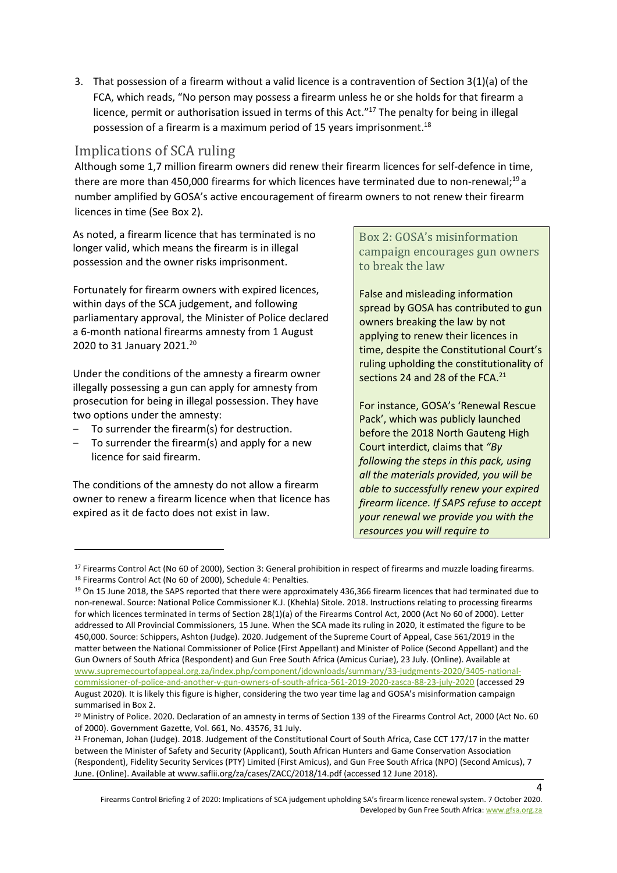3. That possession of a firearm without a valid licence is a contravention of Section 3(1)(a) of the FCA, which reads, "No person may possess a firearm unless he or she holds for that firearm a licence, permit or authorisation issued in terms of this Act."<sup>17</sup> The penalty for being in illegal possession of a firearm is a maximum period of 15 years imprisonment. 18

### <span id="page-3-0"></span>Implications of SCA ruling

Although some 1,7 million firearm owners did renew their firearm licences for self-defence in time, there are more than 450,000 firearms for which licences have terminated due to non-renewal;<sup>19</sup> a number amplified by GOSA's active encouragement of firearm owners to not renew their firearm licences in time (See Box 2).

As noted, a firearm licence that has terminated is no longer valid, which means the firearm is in illegal possession and the owner risks imprisonment.

Fortunately for firearm owners with expired licences, within days of the SCA judgement, and following parliamentary approval, the Minister of Police declared a 6-month national firearms amnesty from 1 August 2020 to 31 January 2021.<sup>20</sup>

Under the conditions of the amnesty a firearm owner illegally possessing a gun can apply for amnesty from prosecution for being in illegal possession. They have two options under the amnesty:

- ‒ To surrender the firearm(s) for destruction.
- To surrender the firearm(s) and apply for a new licence for said firearm.

The conditions of the amnesty do not allow a firearm owner to renew a firearm licence when that licence has expired as it de facto does not exist in law.

Box 2: GOSA's misinformation campaign encourages gun owners to break the law

False and misleading information spread by GOSA has contributed to gun owners breaking the law by not applying to renew their licences in time, despite the Constitutional Court's ruling upholding the constitutionality of sections 24 and 28 of the FCA.<sup>21</sup>

For instance, GOSA's 'Renewal Rescue Pack', which was publicly launched before the 2018 North Gauteng High Court interdict, claims that *"By following the steps in this pack, using all the materials provided, you will be able to successfully renew your expired firearm licence. If SAPS refuse to accept your renewal we provide you with the resources you will require to* 

<sup>&</sup>lt;sup>17</sup> Firearms Control Act (No 60 of 2000), Section 3: General prohibition in respect of firearms and muzzle loading firearms. <sup>18</sup> Firearms Control Act (No 60 of 2000), Schedule 4: Penalties.

<sup>&</sup>lt;sup>19</sup> On 15 June 2018, the SAPS reported that there were approximately 436,366 firearm licences that had terminated due to non-renewal. Source: National Police Commissioner K.J. (Khehla) Sitole. 2018. Instructions relating to processing firearms for which licences terminated in terms of Section 28(1)(a) of the Firearms Control Act, 2000 (Act No 60 of 2000). Letter addressed to All Provincial Commissioners, 15 June. When the SCA made its ruling in 2020, it estimated the figure to be 450,000. Source: Schippers, Ashton (Judge). 2020. Judgement of the Supreme Court of Appeal, Case 561/2019 in the matter between the National Commissioner of Police (First Appellant) and Minister of Police (Second Appellant) and the Gun Owners of South Africa (Respondent) and Gun Free South Africa (Amicus Curiae), 23 July. (Online). Available at [www.supremecourtofappeal.org.za/index.php/component/jdownloads/summary/33-judgments-2020/3405-national](http://www.supremecourtofappeal.org.za/index.php/component/jdownloads/summary/33-judgments-2020/3405-national-commissioner-of-police-and-another-v-gun-owners-of-south-africa-561-2019-2020-zasca-88-23-july-2020)[commissioner-of-police-and-another-v-gun-owners-of-south-africa-561-2019-2020-zasca-88-23-july-2020](http://www.supremecourtofappeal.org.za/index.php/component/jdownloads/summary/33-judgments-2020/3405-national-commissioner-of-police-and-another-v-gun-owners-of-south-africa-561-2019-2020-zasca-88-23-july-2020) (accessed 29 August 2020). It is likely this figure is higher, considering the two year time lag and GOSA's misinformation campaign summarised in Box 2.

<sup>&</sup>lt;sup>20</sup> Ministry of Police. 2020. Declaration of an amnesty in terms of Section 139 of the Firearms Control Act, 2000 (Act No. 60 of 2000). Government Gazette, Vol. 661, No. 43576, 31 July.

 $21$  Froneman, Johan (Judge). 2018. Judgement of the Constitutional Court of South Africa, Case CCT 177/17 in the matter between the Minister of Safety and Security (Applicant), South African Hunters and Game Conservation Association (Respondent), Fidelity Security Services (PTY) Limited (First Amicus), and Gun Free South Africa (NPO) (Second Amicus), 7 June. (Online). Available at www.saflii.org/za/cases/ZACC/2018/14.pdf (accessed 12 June 2018).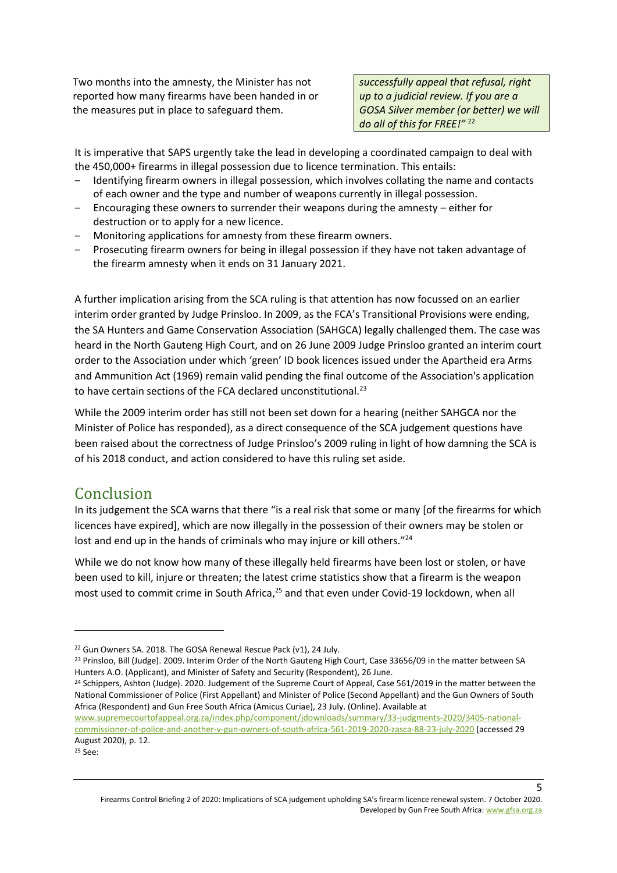Two months into the amnesty, the Minister has not reported how many firearms have been handed in or the measures put in place to safeguard them.

*successfully appeal that refusal, right up to a judicial review. If you are a GOSA Silver member (or better) we will do all of this for FREE!"* <sup>22</sup>

It is imperative that SAPS urgently take the lead in developing a coordinated campaign to deal with the 450,000+ firearms in illegal possession due to licence termination. This entails:

- ‒ Identifying firearm owners in illegal possession, which involves collating the name and contacts of each owner and the type and number of weapons currently in illegal possession.
- Encouraging these owners to surrender their weapons during the amnesty  $-$  either for destruction or to apply for a new licence.
- ‒ Monitoring applications for amnesty from these firearm owners.
- ‒ Prosecuting firearm owners for being in illegal possession if they have not taken advantage of the firearm amnesty when it ends on 31 January 2021.

A further implication arising from the SCA ruling is that attention has now focussed on an earlier interim order granted by Judge Prinsloo. In 2009, as the FCA's Transitional Provisions were ending, the SA Hunters and Game Conservation Association (SAHGCA) legally challenged them. The case was heard in the North Gauteng High Court, and on 26 June 2009 Judge Prinsloo granted an interim court order to the Association under which 'green' ID book licences issued under the Apartheid era Arms and Ammunition Act (1969) remain valid pending the final outcome of the Association's application to have certain sections of the FCA declared unconstitutional.<sup>23</sup>

While the 2009 interim order has still not been set down for a hearing (neither SAHGCA nor the Minister of Police has responded), as a direct consequence of the SCA judgement questions have been raised about the correctness of Judge Prinsloo's 2009 ruling in light of how damning the SCA is of his 2018 conduct, and action considered to have this ruling set aside.

### Conclusion

In its judgement the SCA warns that there "is a real risk that some or many [of the firearms for which licences have expired], which are now illegally in the possession of their owners may be stolen or lost and end up in the hands of criminals who may injure or kill others."<sup>24</sup>

While we do not know how many of these illegally held firearms have been lost or stolen, or have been used to kill, injure or threaten; the latest crime statistics show that a firearm is the weapon most used to commit crime in South Africa,<sup>25</sup> and that even under Covid-19 lockdown, when all

Firearms Control Briefing 2 of 2020: Implications of SCA judgement upholding SA's firearm licence renewal system. 7 October 2020. Developed by Gun Free South Africa[: www.gfsa.org.za](http://www.gfsa.org.za/)

<sup>22</sup> Gun Owners SA. 2018. The GOSA Renewal Rescue Pack (v1), 24 July.

<sup>&</sup>lt;sup>23</sup> Prinsloo, Bill (Judge). 2009. Interim Order of the North Gauteng High Court, Case 33656/09 in the matter between SA Hunters A.O. (Applicant), and Minister of Safety and Security (Respondent), 26 June.

<sup>&</sup>lt;sup>24</sup> Schippers, Ashton (Judge). 2020. Judgement of the Supreme Court of Appeal, Case 561/2019 in the matter between the National Commissioner of Police (First Appellant) and Minister of Police (Second Appellant) and the Gun Owners of South Africa (Respondent) and Gun Free South Africa (Amicus Curiae), 23 July. (Online). Available at

[www.supremecourtofappeal.org.za/index.php/component/jdownloads/summary/33-judgments-2020/3405-national](http://www.supremecourtofappeal.org.za/index.php/component/jdownloads/summary/33-judgments-2020/3405-national-commissioner-of-police-and-another-v-gun-owners-of-south-africa-561-2019-2020-zasca-88-23-july-2020)[commissioner-of-police-and-another-v-gun-owners-of-south-africa-561-2019-2020-zasca-88-23-july-2020](http://www.supremecourtofappeal.org.za/index.php/component/jdownloads/summary/33-judgments-2020/3405-national-commissioner-of-police-and-another-v-gun-owners-of-south-africa-561-2019-2020-zasca-88-23-july-2020) (accessed 29 August 2020), p. 12.

<sup>25</sup> See: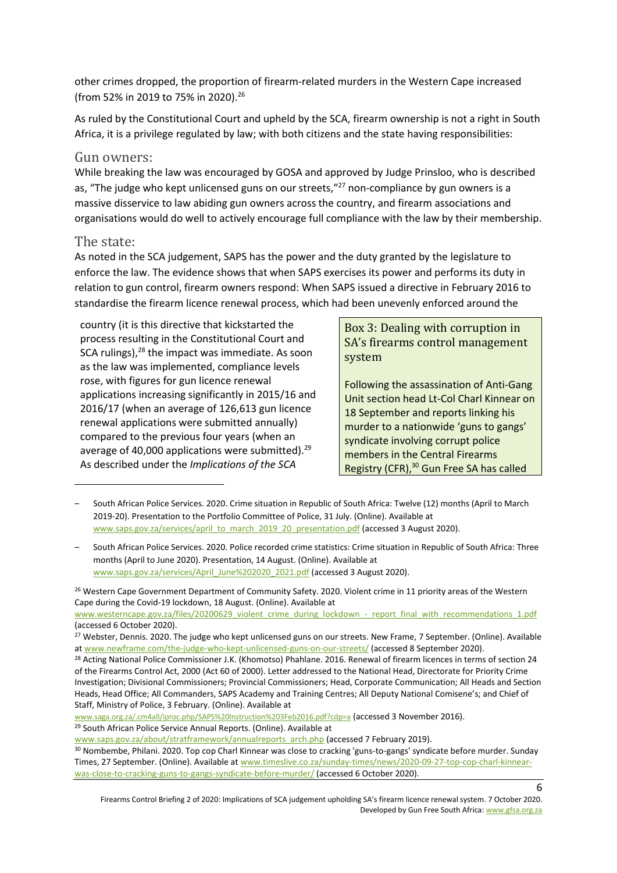other crimes dropped, the proportion of firearm-related murders in the Western Cape increased (from 52% in 2019 to 75% in 2020).<sup>26</sup>

As ruled by the Constitutional Court and upheld by the SCA, firearm ownership is not a right in South Africa, it is a privilege regulated by law; with both citizens and the state having responsibilities:

#### Gun owners:

While breaking the law was encouraged by GOSA and approved by Judge Prinsloo, who is described as, "The judge who kept unlicensed guns on our streets,"<sup>27</sup> non-compliance by gun owners is a massive disservice to law abiding gun owners across the country, and firearm associations and organisations would do well to actively encourage full compliance with the law by their membership.

#### The state:

As noted in the SCA judgement, SAPS has the power and the duty granted by the legislature to enforce the law. The evidence shows that when SAPS exercises its power and performs its duty in relation to gun control, firearm owners respond: When SAPS issued a directive in February 2016 to standardise the firearm licence renewal process, which had been unevenly enforced around the

country (it is this directive that kickstarted the process resulting in the Constitutional Court and SCA rulings),<sup>28</sup> the impact was immediate. As soon as the law was implemented, compliance levels rose, with figures for gun licence renewal applications increasing significantly in 2015/16 and 2016/17 (when an average of 126,613 gun licence renewal applications were submitted annually) compared to the previous four years (when an average of 40,000 applications were submitted).<sup>29</sup> As described under the *Implications of the SCA* 

### Box 3: Dealing with corruption in SA's firearms control management system

Following the assassination of Anti-Gang Unit section head Lt-Col Charl Kinnear on 18 September and reports linking his murder to a nationwide 'guns to gangs' syndicate involving corrupt police members in the Central Firearms Registry (CFR), <sup>30</sup> Gun Free SA has called

[www.saga.org.za/.cm4all/iproc.php/SAPS%20Instruction%203Feb2016.pdf?cdp=a](http://www.saga.org.za/.cm4all/iproc.php/SAPS%20Instruction%203Feb2016.pdf?cdp=a) (accessed 3 November 2016). <sup>29</sup> South African Police Service Annual Reports. (Online). Available at

<sup>‒</sup> South African Police Services. 2020. Crime situation in Republic of South Africa: Twelve (12) months (April to March 2019-20). Presentation to the Portfolio Committee of Police, 31 July. (Online). Available at [www.saps.gov.za/services/april\\_to\\_march\\_2019\\_20\\_presentation.pdf](https://www.saps.gov.za/services/april_to_march_2019_20_presentation.pdf) (accessed 3 August 2020).

<sup>‒</sup> South African Police Services. 2020. Police recorded crime statistics: Crime situation in Republic of South Africa: Three months (April to June 2020). Presentation, 14 August. (Online). Available at [www.saps.gov.za/services/April\\_June%202020\\_2021.pdf](https://www.saps.gov.za/services/April_June%202020_2021.pdf) (accessed 3 August 2020).

<sup>&</sup>lt;sup>26</sup> Western Cape Government Department of Community Safety. 2020. Violent crime in 11 priority areas of the Western Cape during the Covid-19 lockdown, 18 August. (Online). Available at

[www.westerncape.gov.za/files/20200629\\_violent\\_crime\\_during\\_lockdown\\_-\\_report\\_final\\_with\\_recommendations\\_1.pdf](https://www.westerncape.gov.za/files/20200629_violent_crime_during_lockdown_-_report_final_with_recommendations_1.pdf) (accessed 6 October 2020).

<sup>&</sup>lt;sup>27</sup> Webster, Dennis. 2020. The judge who kept unlicensed guns on our streets. New Frame, 7 September. (Online). Available a[t www.newframe.com/the-judge-who-kept-unlicensed-guns-on-our-streets/](https://www.newframe.com/the-judge-who-kept-unlicensed-guns-on-our-streets/) (accessed 8 September 2020).

<sup>&</sup>lt;sup>28</sup> Acting National Police Commissioner J.K. (Khomotso) Phahlane. 2016. Renewal of firearm licences in terms of section 24 of the Firearms Control Act, 2000 (Act 60 of 2000). Letter addressed to the National Head, Directorate for Priority Crime Investigation; Divisional Commissioners; Provincial Commissioners; Head, Corporate Communication; All Heads and Section Heads, Head Office; All Commanders, SAPS Academy and Training Centres; All Deputy National Comisene's; and Chief of Staff, Ministry of Police, 3 February. (Online). Available at

[www.saps.gov.za/about/stratframework/annualreports\\_arch.php](http://www.saps.gov.za/about/stratframework/annualreports_arch.php) (accessed 7 February 2019).

<sup>30</sup> Nombembe, Philani. 2020. Top cop Charl Kinnear was close to cracking 'guns-to-gangs' syndicate before murder. Sunday Times, 27 September. (Online). Available at [www.timeslive.co.za/sunday-times/news/2020-09-27-top-cop-charl-kinnear](http://www.timeslive.co.za/sunday-times/news/2020-09-27-top-cop-charl-kinnear-was-close-to-cracking-guns-to-gangs-syndicate-before-murder/)[was-close-to-cracking-guns-to-gangs-syndicate-before-murder/](http://www.timeslive.co.za/sunday-times/news/2020-09-27-top-cop-charl-kinnear-was-close-to-cracking-guns-to-gangs-syndicate-before-murder/) (accessed 6 October 2020).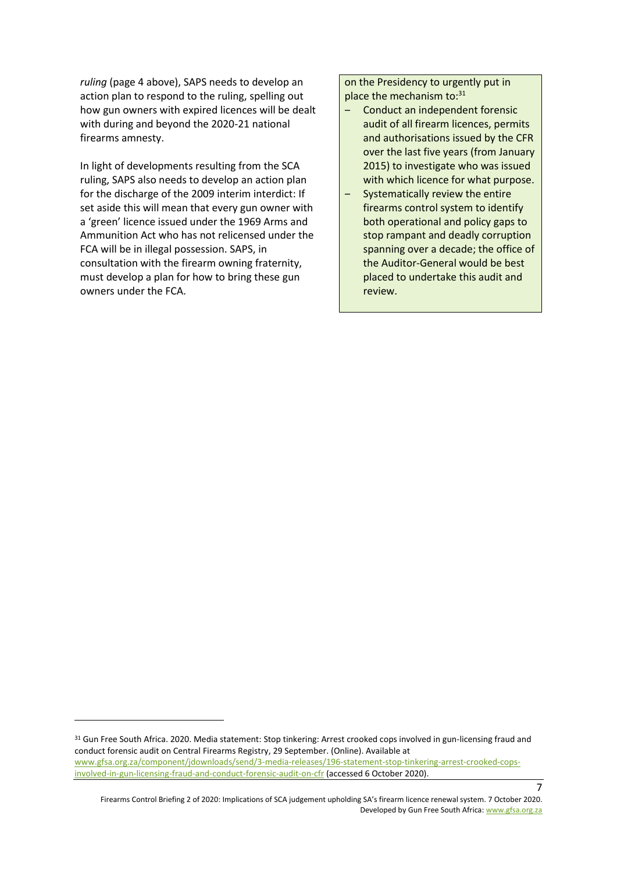*ruling* (page [4](#page-3-0) [above\)](#page-3-0), SAPS needs to develop an action plan to respond to the ruling, spelling out how gun owners with expired licences will be dealt with during and beyond the 2020-21 national firearms amnesty.

In light of developments resulting from the SCA ruling, SAPS also needs to develop an action plan for the discharge of the 2009 interim interdict: If set aside this will mean that every gun owner with a 'green' licence issued under the 1969 Arms and Ammunition Act who has not relicensed under the FCA will be in illegal possession. SAPS, in consultation with the firearm owning fraternity, must develop a plan for how to bring these gun owners under the FCA.

on the Presidency to urgently put in place the mechanism to: 31

- ‒ Conduct an independent forensic audit of all firearm licences, permits and authorisations issued by the CFR over the last five years (from January 2015) to investigate who was issued with which licence for what purpose.
- ‒ Systematically review the entire firearms control system to identify both operational and policy gaps to stop rampant and deadly corruption spanning over a decade; the office of the Auditor-General would be best placed to undertake this audit and review.

<sup>&</sup>lt;sup>31</sup> Gun Free South Africa. 2020. Media statement: Stop tinkering: Arrest crooked cops involved in gun-licensing fraud and conduct forensic audit on Central Firearms Registry, 29 September. (Online). Available at [www.gfsa.org.za/component/jdownloads/send/3-media-releases/196-statement-stop-tinkering-arrest-crooked-cops](https://www.gfsa.org.za/component/jdownloads/send/3-media-releases/196-statement-stop-tinkering-arrest-crooked-cops-involved-in-gun-licensing-fraud-and-conduct-forensic-audit-on-cfr)[involved-in-gun-licensing-fraud-and-conduct-forensic-audit-on-cfr](https://www.gfsa.org.za/component/jdownloads/send/3-media-releases/196-statement-stop-tinkering-arrest-crooked-cops-involved-in-gun-licensing-fraud-and-conduct-forensic-audit-on-cfr) (accessed 6 October 2020).

Firearms Control Briefing 2 of 2020: Implications of SCA judgement upholding SA's firearm licence renewal system. 7 October 2020. Developed by Gun Free South Africa[: www.gfsa.org.za](http://www.gfsa.org.za/)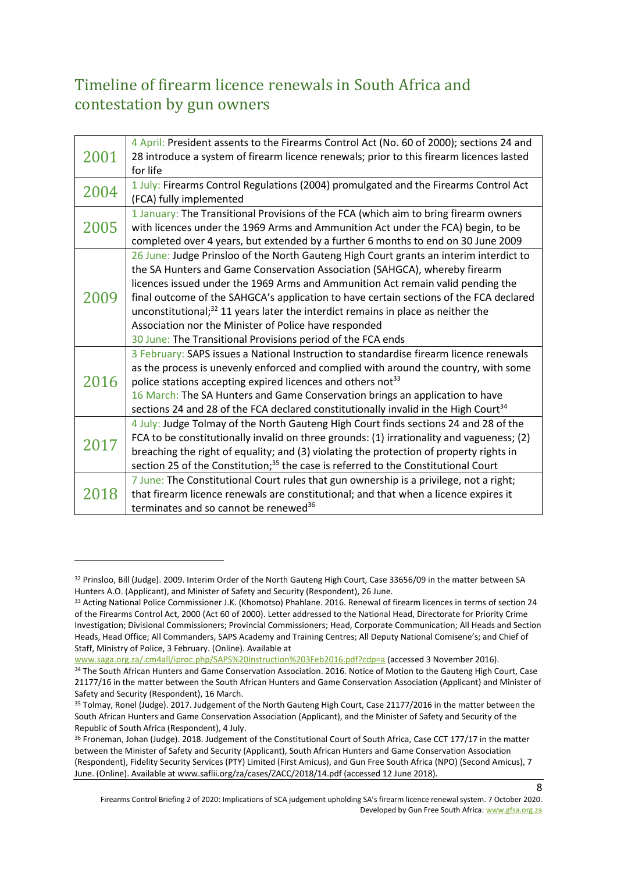# <span id="page-7-0"></span>Timeline of firearm licence renewals in South Africa and contestation by gun owners

| 2001 | 4 April: President assents to the Firearms Control Act (No. 60 of 2000); sections 24 and<br>28 introduce a system of firearm licence renewals; prior to this firearm licences lasted<br>for life                                                                                                                                                                                                                                                                                                                                                                 |
|------|------------------------------------------------------------------------------------------------------------------------------------------------------------------------------------------------------------------------------------------------------------------------------------------------------------------------------------------------------------------------------------------------------------------------------------------------------------------------------------------------------------------------------------------------------------------|
| 2004 | 1 July: Firearms Control Regulations (2004) promulgated and the Firearms Control Act<br>(FCA) fully implemented                                                                                                                                                                                                                                                                                                                                                                                                                                                  |
| 2005 | 1 January: The Transitional Provisions of the FCA (which aim to bring firearm owners<br>with licences under the 1969 Arms and Ammunition Act under the FCA) begin, to be<br>completed over 4 years, but extended by a further 6 months to end on 30 June 2009                                                                                                                                                                                                                                                                                                    |
| 2009 | 26 June: Judge Prinsloo of the North Gauteng High Court grants an interim interdict to<br>the SA Hunters and Game Conservation Association (SAHGCA), whereby firearm<br>licences issued under the 1969 Arms and Ammunition Act remain valid pending the<br>final outcome of the SAHGCA's application to have certain sections of the FCA declared<br>unconstitutional; $32$ 11 years later the interdict remains in place as neither the<br>Association nor the Minister of Police have responded<br>30 June: The Transitional Provisions period of the FCA ends |
| 2016 | 3 February: SAPS issues a National Instruction to standardise firearm licence renewals<br>as the process is unevenly enforced and complied with around the country, with some<br>police stations accepting expired licences and others not <sup>33</sup><br>16 March: The SA Hunters and Game Conservation brings an application to have<br>sections 24 and 28 of the FCA declared constitutionally invalid in the High Court <sup>34</sup>                                                                                                                      |
| 2017 | 4 July: Judge Tolmay of the North Gauteng High Court finds sections 24 and 28 of the<br>FCA to be constitutionally invalid on three grounds: (1) irrationality and vagueness; (2)<br>breaching the right of equality; and (3) violating the protection of property rights in<br>section 25 of the Constitution; <sup>35</sup> the case is referred to the Constitutional Court                                                                                                                                                                                   |
| 2018 | 7 June: The Constitutional Court rules that gun ownership is a privilege, not a right;<br>that firearm licence renewals are constitutional; and that when a licence expires it<br>terminates and so cannot be renewed <sup>36</sup>                                                                                                                                                                                                                                                                                                                              |

[www.saga.org.za/.cm4all/iproc.php/SAPS%20Instruction%203Feb2016.pdf?cdp=a](http://www.saga.org.za/.cm4all/iproc.php/SAPS%20Instruction%203Feb2016.pdf?cdp=a) (accessed 3 November 2016).

<sup>32</sup> Prinsloo, Bill (Judge). 2009. Interim Order of the North Gauteng High Court, Case 33656/09 in the matter between SA Hunters A.O. (Applicant), and Minister of Safety and Security (Respondent), 26 June.

<sup>33</sup> Acting National Police Commissioner J.K. (Khomotso) Phahlane. 2016. Renewal of firearm licences in terms of section 24 of the Firearms Control Act, 2000 (Act 60 of 2000). Letter addressed to the National Head, Directorate for Priority Crime Investigation; Divisional Commissioners; Provincial Commissioners; Head, Corporate Communication; All Heads and Section Heads, Head Office; All Commanders, SAPS Academy and Training Centres; All Deputy National Comisene's; and Chief of Staff, Ministry of Police, 3 February. (Online). Available at

<sup>34</sup> The South African Hunters and Game Conservation Association. 2016. Notice of Motion to the Gauteng High Court, Case 21177/16 in the matter between the South African Hunters and Game Conservation Association (Applicant) and Minister of Safety and Security (Respondent), 16 March.

<sup>&</sup>lt;sup>35</sup> Tolmay, Ronel (Judge). 2017. Judgement of the North Gauteng High Court, Case 21177/2016 in the matter between the South African Hunters and Game Conservation Association (Applicant), and the Minister of Safety and Security of the Republic of South Africa (Respondent), 4 July.

<sup>&</sup>lt;sup>36</sup> Froneman, Johan (Judge). 2018. Judgement of the Constitutional Court of South Africa, Case CCT 177/17 in the matter between the Minister of Safety and Security (Applicant), South African Hunters and Game Conservation Association (Respondent), Fidelity Security Services (PTY) Limited (First Amicus), and Gun Free South Africa (NPO) (Second Amicus), 7 June. (Online). Available at www.saflii.org/za/cases/ZACC/2018/14.pdf (accessed 12 June 2018).

Firearms Control Briefing 2 of 2020: Implications of SCA judgement upholding SA's firearm licence renewal system. 7 October 2020. Developed by Gun Free South Africa[: www.gfsa.org.za](http://www.gfsa.org.za/)